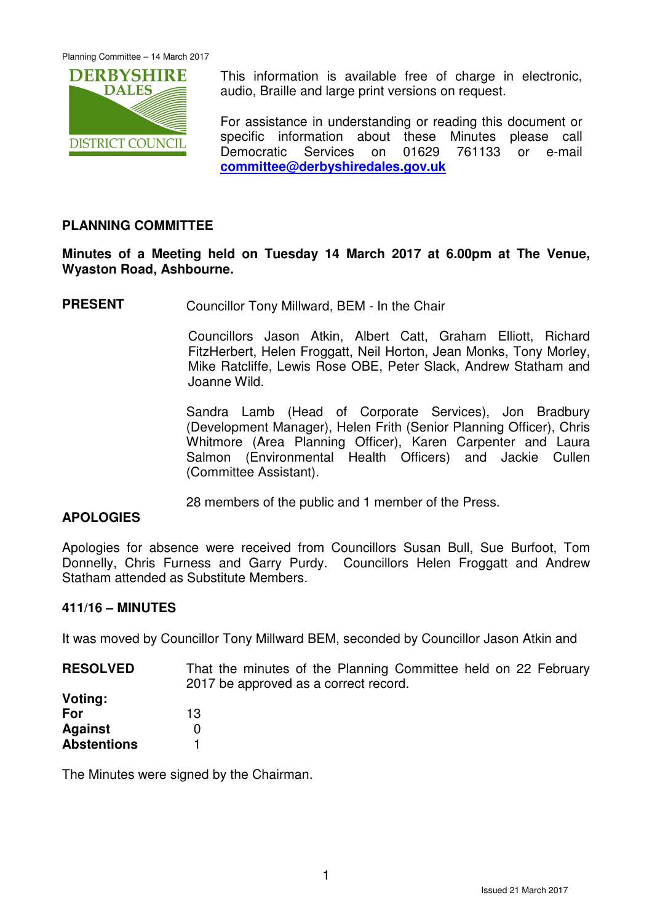

This information is available free of charge in electronic, audio, Braille and large print versions on request.

For assistance in understanding or reading this document or specific information about these Minutes please call Democratic Services on 01629 761133 or e-mail **committee@derbyshiredales.gov.uk**

# **PLANNING COMMITTEE**

# **Minutes of a Meeting held on Tuesday 14 March 2017 at 6.00pm at The Venue, Wyaston Road, Ashbourne.**

**PRESENT** Councillor Tony Millward, BEM - In the Chair

 Councillors Jason Atkin, Albert Catt, Graham Elliott, Richard FitzHerbert, Helen Froggatt, Neil Horton, Jean Monks, Tony Morley, Mike Ratcliffe, Lewis Rose OBE, Peter Slack, Andrew Statham and Joanne Wild.

Sandra Lamb (Head of Corporate Services), Jon Bradbury (Development Manager), Helen Frith (Senior Planning Officer), Chris Whitmore (Area Planning Officer), Karen Carpenter and Laura Salmon (Environmental Health Officers) and Jackie Cullen (Committee Assistant).

28 members of the public and 1 member of the Press.

# **APOLOGIES**

Apologies for absence were received from Councillors Susan Bull, Sue Burfoot, Tom Donnelly, Chris Furness and Garry Purdy. Councillors Helen Froggatt and Andrew Statham attended as Substitute Members.

#### **411/16 – MINUTES**

It was moved by Councillor Tony Millward BEM, seconded by Councillor Jason Atkin and

**RESOLVED** That the minutes of the Planning Committee held on 22 February 2017 be approved as a correct record.

| Voting:            |    |
|--------------------|----|
| For                | 13 |
| Against            | O  |
| <b>Abstentions</b> |    |

The Minutes were signed by the Chairman.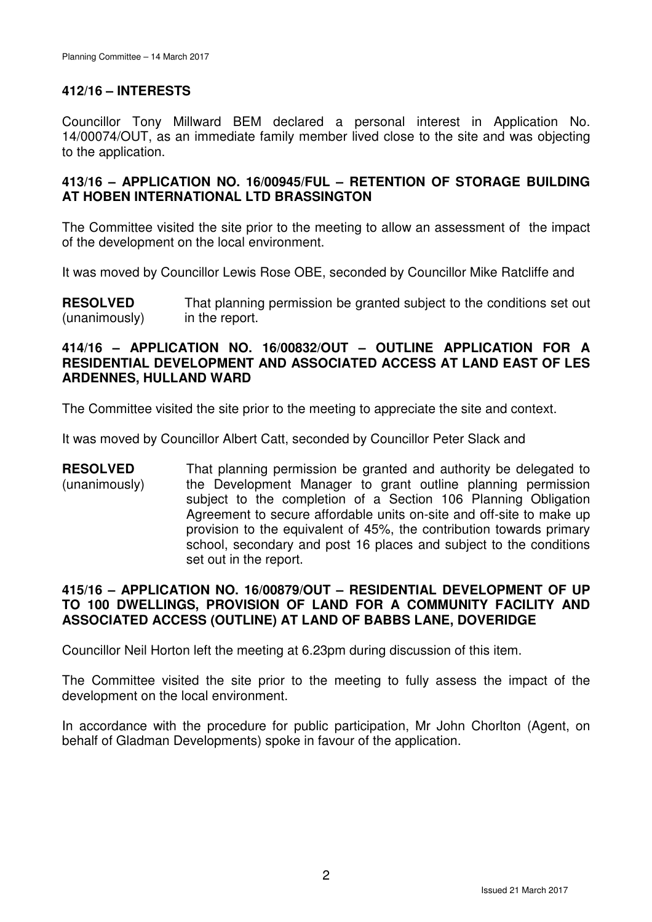# **412/16 – INTERESTS**

Councillor Tony Millward BEM declared a personal interest in Application No. 14/00074/OUT, as an immediate family member lived close to the site and was objecting to the application.

# **413/16 – APPLICATION NO. 16/00945/FUL – RETENTION OF STORAGE BUILDING AT HOBEN INTERNATIONAL LTD BRASSINGTON**

The Committee visited the site prior to the meeting to allow an assessment of the impact of the development on the local environment.

It was moved by Councillor Lewis Rose OBE, seconded by Councillor Mike Ratcliffe and

**RESOLVED** (unanimously) That planning permission be granted subject to the conditions set out in the report.

#### **414/16 – APPLICATION NO. 16/00832/OUT – OUTLINE APPLICATION FOR A RESIDENTIAL DEVELOPMENT AND ASSOCIATED ACCESS AT LAND EAST OF LES ARDENNES, HULLAND WARD**

The Committee visited the site prior to the meeting to appreciate the site and context.

It was moved by Councillor Albert Catt, seconded by Councillor Peter Slack and

**RESOLVED** (unanimously) That planning permission be granted and authority be delegated to the Development Manager to grant outline planning permission subject to the completion of a Section 106 Planning Obligation Agreement to secure affordable units on-site and off-site to make up provision to the equivalent of 45%, the contribution towards primary school, secondary and post 16 places and subject to the conditions set out in the report.

# **415/16 – APPLICATION NO. 16/00879/OUT – RESIDENTIAL DEVELOPMENT OF UP TO 100 DWELLINGS, PROVISION OF LAND FOR A COMMUNITY FACILITY AND ASSOCIATED ACCESS (OUTLINE) AT LAND OF BABBS LANE, DOVERIDGE**

Councillor Neil Horton left the meeting at 6.23pm during discussion of this item.

The Committee visited the site prior to the meeting to fully assess the impact of the development on the local environment.

In accordance with the procedure for public participation, Mr John Chorlton (Agent, on behalf of Gladman Developments) spoke in favour of the application.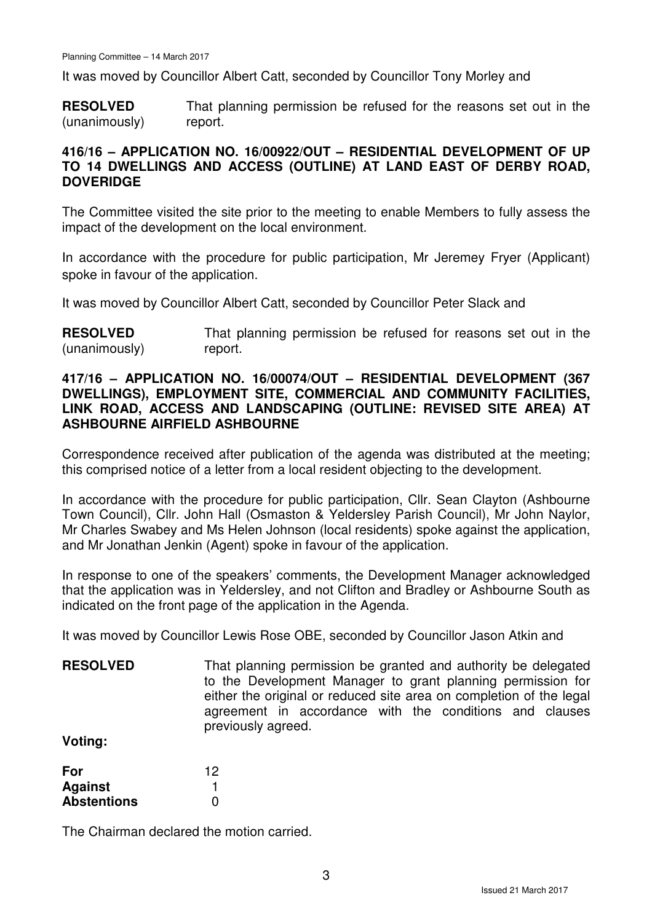It was moved by Councillor Albert Catt, seconded by Councillor Tony Morley and

**RESOLVED** (unanimously) That planning permission be refused for the reasons set out in the report.

# **416/16 – APPLICATION NO. 16/00922/OUT – RESIDENTIAL DEVELOPMENT OF UP TO 14 DWELLINGS AND ACCESS (OUTLINE) AT LAND EAST OF DERBY ROAD, DOVERIDGE**

The Committee visited the site prior to the meeting to enable Members to fully assess the impact of the development on the local environment.

In accordance with the procedure for public participation, Mr Jeremey Fryer (Applicant) spoke in favour of the application.

It was moved by Councillor Albert Catt, seconded by Councillor Peter Slack and

**RESOLVED** (unanimously) That planning permission be refused for reasons set out in the report.

#### **417/16 – APPLICATION NO. 16/00074/OUT – RESIDENTIAL DEVELOPMENT (367 DWELLINGS), EMPLOYMENT SITE, COMMERCIAL AND COMMUNITY FACILITIES, LINK ROAD, ACCESS AND LANDSCAPING (OUTLINE: REVISED SITE AREA) AT ASHBOURNE AIRFIELD ASHBOURNE**

Correspondence received after publication of the agenda was distributed at the meeting; this comprised notice of a letter from a local resident objecting to the development.

In accordance with the procedure for public participation, Cllr. Sean Clayton (Ashbourne Town Council), Cllr. John Hall (Osmaston & Yeldersley Parish Council), Mr John Naylor, Mr Charles Swabey and Ms Helen Johnson (local residents) spoke against the application, and Mr Jonathan Jenkin (Agent) spoke in favour of the application.

In response to one of the speakers' comments, the Development Manager acknowledged that the application was in Yeldersley, and not Clifton and Bradley or Ashbourne South as indicated on the front page of the application in the Agenda.

It was moved by Councillor Lewis Rose OBE, seconded by Councillor Jason Atkin and

**RESOLVED Voting:**  That planning permission be granted and authority be delegated to the Development Manager to grant planning permission for either the original or reduced site area on completion of the legal agreement in accordance with the conditions and clauses previously agreed.

**For Against Abstentions**  12 1  $\Omega$ 

The Chairman declared the motion carried.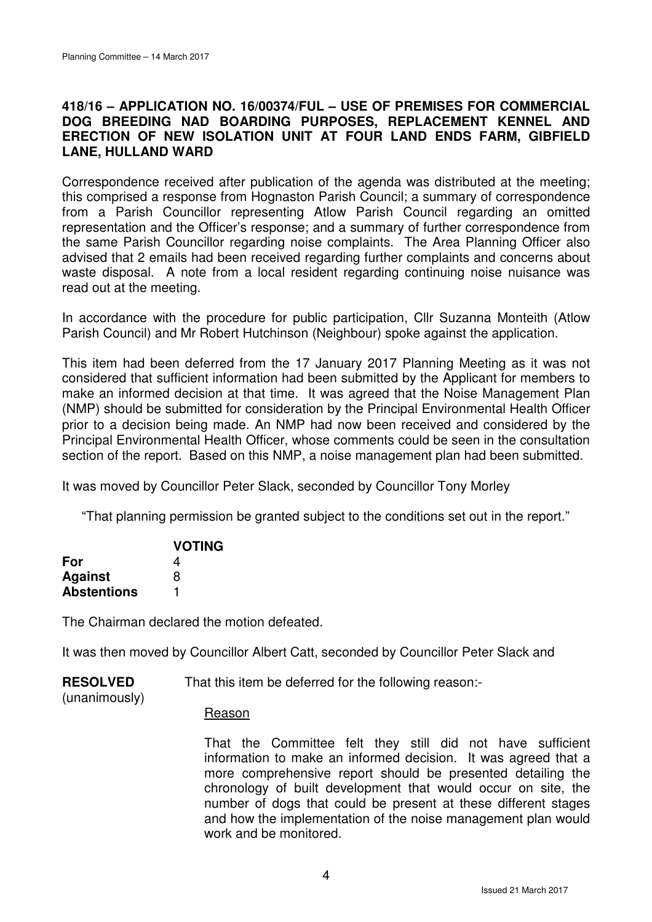## **418/16 – APPLICATION NO. 16/00374/FUL – USE OF PREMISES FOR COMMERCIAL DOG BREEDING NAD BOARDING PURPOSES, REPLACEMENT KENNEL AND ERECTION OF NEW ISOLATION UNIT AT FOUR LAND ENDS FARM, GIBFIELD LANE, HULLAND WARD**

Correspondence received after publication of the agenda was distributed at the meeting; this comprised a response from Hognaston Parish Council; a summary of correspondence from a Parish Councillor representing Atlow Parish Council regarding an omitted representation and the Officer's response; and a summary of further correspondence from the same Parish Councillor regarding noise complaints. The Area Planning Officer also advised that 2 emails had been received regarding further complaints and concerns about waste disposal. A note from a local resident regarding continuing noise nuisance was read out at the meeting.

In accordance with the procedure for public participation, Cllr Suzanna Monteith (Atlow Parish Council) and Mr Robert Hutchinson (Neighbour) spoke against the application.

This item had been deferred from the 17 January 2017 Planning Meeting as it was not considered that sufficient information had been submitted by the Applicant for members to make an informed decision at that time. It was agreed that the Noise Management Plan (NMP) should be submitted for consideration by the Principal Environmental Health Officer prior to a decision being made. An NMP had now been received and considered by the Principal Environmental Health Officer, whose comments could be seen in the consultation section of the report. Based on this NMP, a noise management plan had been submitted.

It was moved by Councillor Peter Slack, seconded by Councillor Tony Morley

"That planning permission be granted subject to the conditions set out in the report."

|                    | <b>VOTING</b> |
|--------------------|---------------|
| For                | 4             |
| <b>Against</b>     | 8             |
| <b>Abstentions</b> |               |

The Chairman declared the motion defeated.

It was then moved by Councillor Albert Catt, seconded by Councillor Peter Slack and

| <b>RESOLVED</b> | That this item be deferred for the following reason:- |
|-----------------|-------------------------------------------------------|
|                 |                                                       |

(unanimously)

#### Reason

That the Committee felt they still did not have sufficient information to make an informed decision. It was agreed that a more comprehensive report should be presented detailing the chronology of built development that would occur on site, the number of dogs that could be present at these different stages and how the implementation of the noise management plan would work and be monitored.